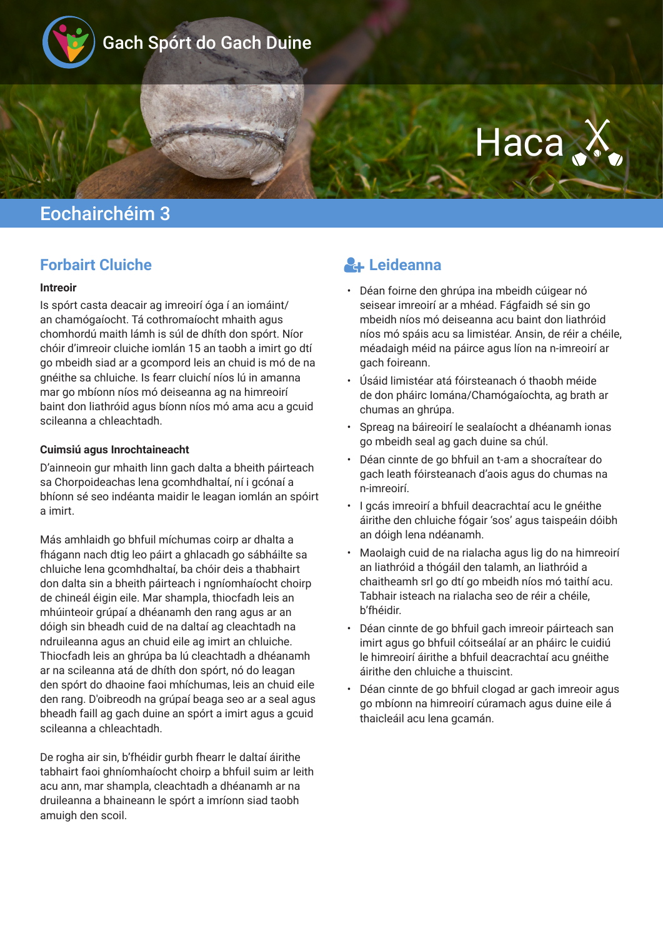

# Haca .X

## Eochairchéim 3

### **Forbairt Cluiche**

#### **Intreoir**

Is spórt casta deacair ag imreoirí óga í an iomáint/ an chamógaíocht. Tá cothromaíocht mhaith agus chomhordú maith lámh is súl de dhíth don spórt. Níor chóir d'imreoir cluiche iomlán 15 an taobh a imirt go dtí go mbeidh siad ar a gcompord leis an chuid is mó de na gnéithe sa chluiche. Is fearr cluichí níos lú in amanna mar go mbíonn níos mó deiseanna ag na himreoirí baint don liathróid agus bíonn níos mó ama acu a gcuid scileanna a chleachtadh.

#### **Cuimsiú agus Inrochtaineacht**

D'ainneoin gur mhaith linn gach dalta a bheith páirteach sa Chorpoideachas lena gcomhdhaltaí, ní i gcónaí a bhíonn sé seo indéanta maidir le leagan iomlán an spóirt a imirt.

Más amhlaidh go bhfuil míchumas coirp ar dhalta a fhágann nach dtig leo páirt a ghlacadh go sábháilte sa chluiche lena gcomhdhaltaí, ba chóir deis a thabhairt don dalta sin a bheith páirteach i ngníomhaíocht choirp de chineál éigin eile. Mar shampla, thiocfadh leis an mhúinteoir grúpaí a dhéanamh den rang agus ar an dóigh sin bheadh cuid de na daltaí ag cleachtadh na ndruileanna agus an chuid eile ag imirt an chluiche. Thiocfadh leis an ghrúpa ba lú cleachtadh a dhéanamh ar na scileanna atá de dhíth don spórt, nó do leagan den spórt do dhaoine faoi mhíchumas, leis an chuid eile den rang. D'oibreodh na grúpaí beaga seo ar a seal agus bheadh faill ag gach duine an spórt a imirt agus a gcuid scileanna a chleachtadh.

De rogha air sin, b'fhéidir gurbh fhearr le daltaí áirithe tabhairt faoi ghníomhaíocht choirp a bhfuil suim ar leith acu ann, mar shampla, cleachtadh a dhéanamh ar na druileanna a bhaineann le spórt a imríonn siad taobh amuigh den scoil.

## **Leideanna**

- Déan foirne den ghrúpa ina mbeidh cúigear nó seisear imreoirí ar a mhéad. Fágfaidh sé sin go mbeidh níos mó deiseanna acu baint don liathróid níos mó spáis acu sa limistéar. Ansin, de réir a chéile, méadaigh méid na páirce agus líon na n-imreoirí ar gach foireann.
- Úsáid limistéar atá fóirsteanach ó thaobh méide de don pháirc Iomána/Chamógaíochta, ag brath ar chumas an ghrúpa.
- Spreag na báireoirí le sealaíocht a dhéanamh ionas go mbeidh seal ag gach duine sa chúl.
- Déan cinnte de go bhfuil an t-am a shocraítear do gach leath fóirsteanach d'aois agus do chumas na n-imreoirí.
- I gcás imreoirí a bhfuil deacrachtaí acu le gnéithe áirithe den chluiche fógair 'sos' agus taispeáin dóibh an dóigh lena ndéanamh.
- Maolaigh cuid de na rialacha agus lig do na himreoirí an liathróid a thógáil den talamh, an liathróid a chaitheamh srl go dtí go mbeidh níos mó taithí acu. Tabhair isteach na rialacha seo de réir a chéile, b'fhéidir.
- Déan cinnte de go bhfuil gach imreoir páirteach san imirt agus go bhfuil cóitseálaí ar an pháirc le cuidiú le himreoirí áirithe a bhfuil deacrachtaí acu gnéithe áirithe den chluiche a thuiscint.
- Déan cinnte de go bhfuil clogad ar gach imreoir agus go mbíonn na himreoirí cúramach agus duine eile á thaicleáil acu lena gcamán.